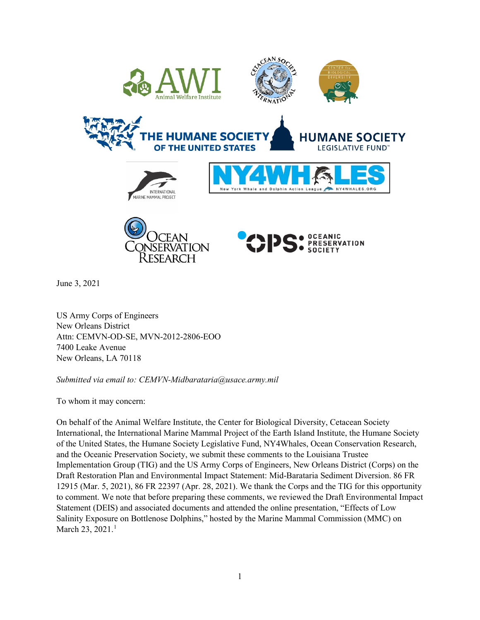





June 3, 2021

US Army Corps of Engineers New Orleans District Attn: CEMVN-OD-SE, MVN-2012-2806-EOO 7400 Leake Avenue New Orleans, LA 70118

*Submitted via email to: CEMVN-Midbarataria@usace.army.mil*

To whom it may concern:

On behalf of the Animal Welfare Institute, the Center for Biological Diversity, Cetacean Society International, the International Marine Mammal Project of the Earth Island Institute, the Humane Society of the United States, the Humane Society Legislative Fund, NY4Whales, Ocean Conservation Research, and the Oceanic Preservation Society, we submit these comments to the Louisiana Trustee Implementation Group (TIG) and the US Army Corps of Engineers, New Orleans District (Corps) on the Draft Restoration Plan and Environmental Impact Statement: Mid-Barataria Sediment Diversion. 86 FR 12915 (Mar. 5, 2021), 86 FR 22397 (Apr. 28, 2021). We thank the Corps and the TIG for this opportunity to comment. We note that before preparing these comments, we reviewed the Draft Environmental Impact Statement (DEIS) and associated documents and attended the online presentation, "Effects of Low Salinity Exposure on Bottlenose Dolphins," hosted by the Marine Mammal Commission (MMC) on March 23, 202[1](#page-13-0).<sup>1</sup>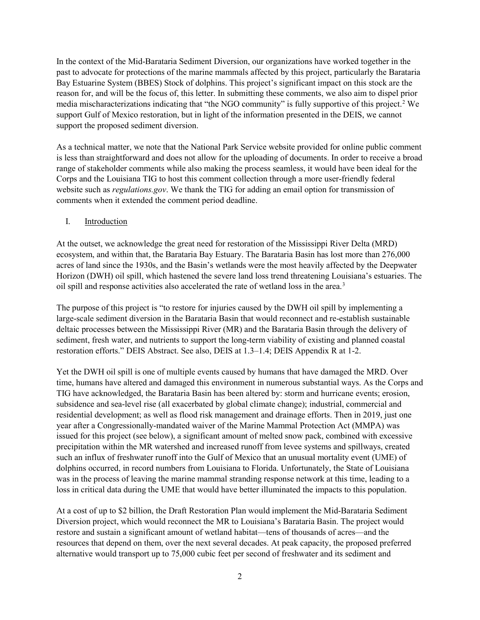In the context of the Mid-Barataria Sediment Diversion, our organizations have worked together in the past to advocate for protections of the marine mammals affected by this project, particularly the Barataria Bay Estuarine System (BBES) Stock of dolphins. This project's significant impact on this stock are the reason for, and will be the focus of, this letter. In submitting these comments, we also aim to dispel prior media mischaracterizations indicating that "the NGO community" is fully supportive of this project.[2](#page-13-1) We support Gulf of Mexico restoration, but in light of the information presented in the DEIS, we cannot support the proposed sediment diversion.

As a technical matter, we note that the National Park Service website provided for online public comment is less than straightforward and does not allow for the uploading of documents. In order to receive a broad range of stakeholder comments while also making the process seamless, it would have been ideal for the Corps and the Louisiana TIG to host this comment collection through a more user-friendly federal website such as *regulations.gov*. We thank the TIG for adding an email option for transmission of comments when it extended the comment period deadline.

#### I. Introduction

At the outset, we acknowledge the great need for restoration of the Mississippi River Delta (MRD) ecosystem, and within that, the Barataria Bay Estuary. The Barataria Basin has lost more than 276,000 acres of land since the 1930s, and the Basin's wetlands were the most heavily affected by the Deepwater Horizon (DWH) oil spill, which hastened the severe land loss trend threatening Louisiana's estuaries. The oil spill and response activities also accelerated the rate of wetland loss in the area.<sup>[3](#page-13-2)</sup>

The purpose of this project is "to restore for injuries caused by the DWH oil spill by implementing a large-scale sediment diversion in the Barataria Basin that would reconnect and re-establish sustainable deltaic processes between the Mississippi River (MR) and the Barataria Basin through the delivery of sediment, fresh water, and nutrients to support the long-term viability of existing and planned coastal restoration efforts." DEIS Abstract. See also, DEIS at 1.3–1.4; DEIS Appendix R at 1-2.

Yet the DWH oil spill is one of multiple events caused by humans that have damaged the MRD. Over time, humans have altered and damaged this environment in numerous substantial ways. As the Corps and TIG have acknowledged, the Barataria Basin has been altered by: storm and hurricane events; erosion, subsidence and sea-level rise (all exacerbated by global climate change); industrial, commercial and residential development; as well as flood risk management and drainage efforts. Then in 2019, just one year after a Congressionally-mandated waiver of the Marine Mammal Protection Act (MMPA) was issued for this project (see below), a significant amount of melted snow pack, combined with excessive precipitation within the MR watershed and increased runoff from levee systems and spillways, created such an influx of freshwater runoff into the Gulf of Mexico that an unusual mortality event (UME) of dolphins occurred, in record numbers from Louisiana to Florida. Unfortunately, the State of Louisiana was in the process of leaving the marine mammal stranding response network at this time, leading to a loss in critical data during the UME that would have better illuminated the impacts to this population.

At a cost of up to \$2 billion, the Draft Restoration Plan would implement the Mid-Barataria Sediment Diversion project, which would reconnect the MR to Louisiana's Barataria Basin. The project would restore and sustain a significant amount of wetland habitat—tens of thousands of acres—and the resources that depend on them, over the next several decades. At peak capacity, the proposed preferred alternative would transport up to 75,000 cubic feet per second of freshwater and its sediment and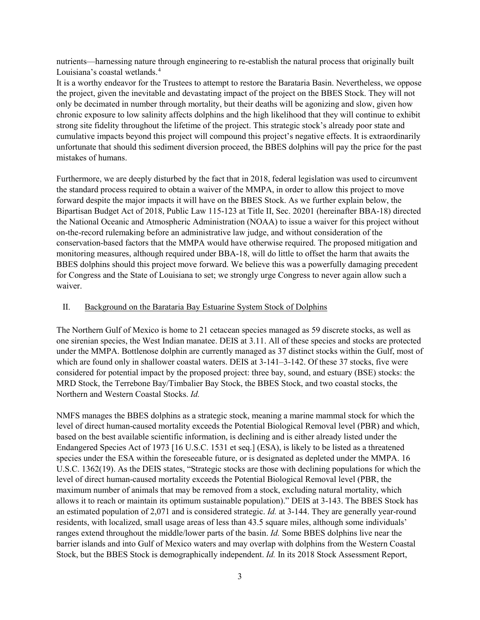nutrients—harnessing nature through engineering to re-establish the natural process that originally built Louisiana's coastal wetlands.<sup>[4](#page-13-3)</sup>

It is a worthy endeavor for the Trustees to attempt to restore the Barataria Basin. Nevertheless, we oppose the project, given the inevitable and devastating impact of the project on the BBES Stock. They will not only be decimated in number through mortality, but their deaths will be agonizing and slow, given how chronic exposure to low salinity affects dolphins and the high likelihood that they will continue to exhibit strong site fidelity throughout the lifetime of the project. This strategic stock's already poor state and cumulative impacts beyond this project will compound this project's negative effects. It is extraordinarily unfortunate that should this sediment diversion proceed, the BBES dolphins will pay the price for the past mistakes of humans.

Furthermore, we are deeply disturbed by the fact that in 2018, federal legislation was used to circumvent the standard process required to obtain a waiver of the MMPA, in order to allow this project to move forward despite the major impacts it will have on the BBES Stock. As we further explain below, the Bipartisan Budget Act of 2018, Public Law 115-123 at Title II, Sec. 20201 (hereinafter BBA-18) directed the National Oceanic and Atmospheric Administration (NOAA) to issue a waiver for this project without on-the-record rulemaking before an administrative law judge, and without consideration of the conservation-based factors that the MMPA would have otherwise required. The proposed mitigation and monitoring measures, although required under BBA-18, will do little to offset the harm that awaits the BBES dolphins should this project move forward. We believe this was a powerfully damaging precedent for Congress and the State of Louisiana to set; we strongly urge Congress to never again allow such a waiver.

#### II. Background on the Barataria Bay Estuarine System Stock of Dolphins

The Northern Gulf of Mexico is home to 21 cetacean species managed as 59 discrete stocks, as well as one sirenian species, the West Indian manatee. DEIS at 3.11. All of these species and stocks are protected under the MMPA. Bottlenose dolphin are currently managed as 37 distinct stocks within the Gulf, most of which are found only in shallower coastal waters. DEIS at 3-141-3-142. Of these 37 stocks, five were considered for potential impact by the proposed project: three bay, sound, and estuary (BSE) stocks: the MRD Stock, the Terrebone Bay/Timbalier Bay Stock, the BBES Stock, and two coastal stocks, the Northern and Western Coastal Stocks. *Id.*

NMFS manages the BBES dolphins as a strategic stock, meaning a marine mammal stock for which the level of direct human-caused mortality exceeds the Potential Biological Removal level (PBR) and which, based on the best available scientific information, is declining and is either already listed under the Endangered Species Act of 1973 [16 U.S.C. 1531 et seq.] (ESA), is likely to be listed as a threatened species under the ESA within the foreseeable future, or is designated as depleted under the MMPA. 16 U.S.C. 1362(19). As the DEIS states, "Strategic stocks are those with declining populations for which the level of direct human-caused mortality exceeds the Potential Biological Removal level (PBR, the maximum number of animals that may be removed from a stock, excluding natural mortality, which allows it to reach or maintain its optimum sustainable population)." DEIS at 3-143. The BBES Stock has an estimated population of 2,071 and is considered strategic. *Id.* at 3-144. They are generally year-round residents, with localized, small usage areas of less than 43.5 square miles, although some individuals' ranges extend throughout the middle/lower parts of the basin. *Id.* Some BBES dolphins live near the barrier islands and into Gulf of Mexico waters and may overlap with dolphins from the Western Coastal Stock, but the BBES Stock is demographically independent. *Id.* In its 2018 Stock Assessment Report,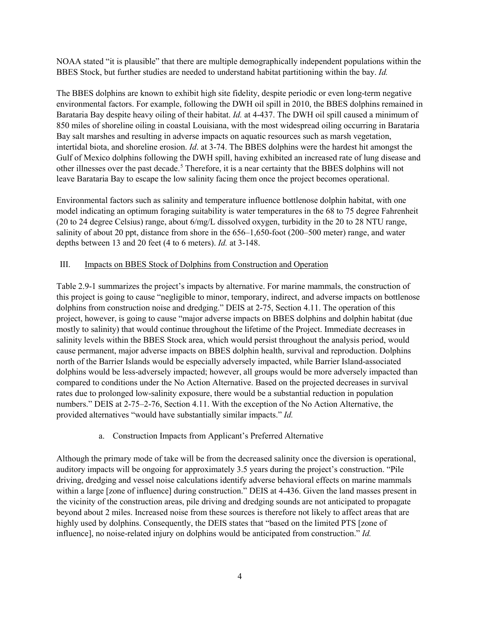NOAA stated "it is plausible" that there are multiple demographically independent populations within the BBES Stock, but further studies are needed to understand habitat partitioning within the bay. *Id.*

The BBES dolphins are known to exhibit high site fidelity, despite periodic or even long-term negative environmental factors. For example, following the DWH oil spill in 2010, the BBES dolphins remained in Barataria Bay despite heavy oiling of their habitat. *Id.* at 4-437. The DWH oil spill caused a minimum of 850 miles of shoreline oiling in coastal Louisiana, with the most widespread oiling occurring in Barataria Bay salt marshes and resulting in adverse impacts on aquatic resources such as marsh vegetation, intertidal biota, and shoreline erosion. *Id*. at 3-74. The BBES dolphins were the hardest hit amongst the Gulf of Mexico dolphins following the DWH spill, having exhibited an increased rate of lung disease and other illnesses over the past decade. [5](#page-13-4) Therefore, it is a near certainty that the BBES dolphins will not leave Barataria Bay to escape the low salinity facing them once the project becomes operational.

Environmental factors such as salinity and temperature influence bottlenose dolphin habitat, with one model indicating an optimum foraging suitability is water temperatures in the 68 to 75 degree Fahrenheit (20 to 24 degree Celsius) range, about 6/mg/L dissolved oxygen, turbidity in the 20 to 28 NTU range, salinity of about 20 ppt, distance from shore in the 656–1,650-foot (200–500 meter) range, and water depths between 13 and 20 feet (4 to 6 meters). *Id.* at 3-148.

### III. Impacts on BBES Stock of Dolphins from Construction and Operation

Table 2.9-1 summarizes the project's impacts by alternative. For marine mammals, the construction of this project is going to cause "negligible to minor, temporary, indirect, and adverse impacts on bottlenose dolphins from construction noise and dredging." DEIS at 2-75, Section 4.11. The operation of this project, however, is going to cause "major adverse impacts on BBES dolphins and dolphin habitat (due mostly to salinity) that would continue throughout the lifetime of the Project. Immediate decreases in salinity levels within the BBES Stock area, which would persist throughout the analysis period, would cause permanent, major adverse impacts on BBES dolphin health, survival and reproduction. Dolphins north of the Barrier Islands would be especially adversely impacted, while Barrier Island-associated dolphins would be less-adversely impacted; however, all groups would be more adversely impacted than compared to conditions under the No Action Alternative. Based on the projected decreases in survival rates due to prolonged low-salinity exposure, there would be a substantial reduction in population numbers." DEIS at 2-75–2-76, Section 4.11. With the exception of the No Action Alternative, the provided alternatives "would have substantially similar impacts." *Id.*

### a. Construction Impacts from Applicant's Preferred Alternative

Although the primary mode of take will be from the decreased salinity once the diversion is operational, auditory impacts will be ongoing for approximately 3.5 years during the project's construction. "Pile driving, dredging and vessel noise calculations identify adverse behavioral effects on marine mammals within a large [zone of influence] during construction." DEIS at 4-436. Given the land masses present in the vicinity of the construction areas, pile driving and dredging sounds are not anticipated to propagate beyond about 2 miles. Increased noise from these sources is therefore not likely to affect areas that are highly used by dolphins. Consequently, the DEIS states that "based on the limited PTS [zone of influence], no noise-related injury on dolphins would be anticipated from construction." *Id.*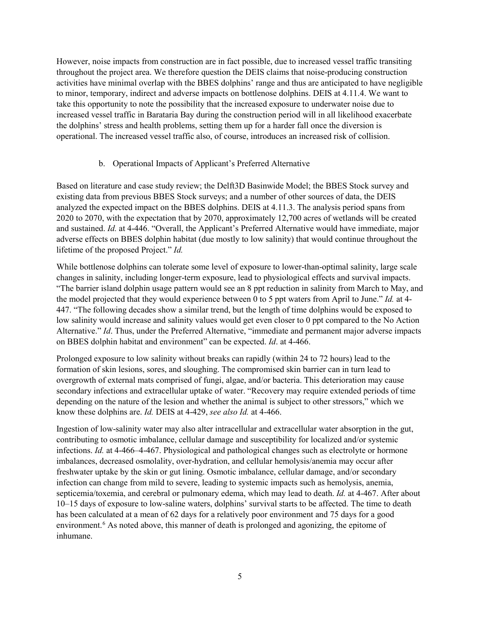However, noise impacts from construction are in fact possible, due to increased vessel traffic transiting throughout the project area. We therefore question the DEIS claims that noise-producing construction activities have minimal overlap with the BBES dolphins' range and thus are anticipated to have negligible to minor, temporary, indirect and adverse impacts on bottlenose dolphins. DEIS at 4.11.4. We want to take this opportunity to note the possibility that the increased exposure to underwater noise due to increased vessel traffic in Barataria Bay during the construction period will in all likelihood exacerbate the dolphins' stress and health problems, setting them up for a harder fall once the diversion is operational. The increased vessel traffic also, of course, introduces an increased risk of collision.

### b. Operational Impacts of Applicant's Preferred Alternative

Based on literature and case study review; the Delft3D Basinwide Model; the BBES Stock survey and existing data from previous BBES Stock surveys; and a number of other sources of data, the DEIS analyzed the expected impact on the BBES dolphins. DEIS at 4.11.3. The analysis period spans from 2020 to 2070, with the expectation that by 2070, approximately 12,700 acres of wetlands will be created and sustained. *Id.* at 4-446. "Overall, the Applicant's Preferred Alternative would have immediate, major adverse effects on BBES dolphin habitat (due mostly to low salinity) that would continue throughout the lifetime of the proposed Project." *Id.*

While bottlenose dolphins can tolerate some level of exposure to lower-than-optimal salinity, large scale changes in salinity, including longer-term exposure, lead to physiological effects and survival impacts. "The barrier island dolphin usage pattern would see an 8 ppt reduction in salinity from March to May, and the model projected that they would experience between 0 to 5 ppt waters from April to June." *Id.* at 4- 447. "The following decades show a similar trend, but the length of time dolphins would be exposed to low salinity would increase and salinity values would get even closer to 0 ppt compared to the No Action Alternative." *Id*. Thus, under the Preferred Alternative, "immediate and permanent major adverse impacts on BBES dolphin habitat and environment" can be expected. *Id*. at 4-466.

Prolonged exposure to low salinity without breaks can rapidly (within 24 to 72 hours) lead to the formation of skin lesions, sores, and sloughing. The compromised skin barrier can in turn lead to overgrowth of external mats comprised of fungi, algae, and/or bacteria. This deterioration may cause secondary infections and extracellular uptake of water. "Recovery may require extended periods of time depending on the nature of the lesion and whether the animal is subject to other stressors," which we know these dolphins are. *Id.* DEIS at 4-429, *see also Id.* at 4-466.

Ingestion of low-salinity water may also alter intracellular and extracellular water absorption in the gut, contributing to osmotic imbalance, cellular damage and susceptibility for localized and/or systemic infections. *Id.* at 4-466–4-467. Physiological and pathological changes such as electrolyte or hormone imbalances, decreased osmolality, over-hydration, and cellular hemolysis/anemia may occur after freshwater uptake by the skin or gut lining. Osmotic imbalance, cellular damage, and/or secondary infection can change from mild to severe, leading to systemic impacts such as hemolysis, anemia, septicemia/toxemia, and cerebral or pulmonary edema, which may lead to death. *Id.* at 4-467. After about 10–15 days of exposure to low-saline waters, dolphins' survival starts to be affected. The time to death has been calculated at a mean of 62 days for a relatively poor environment and 75 days for a good environment.<sup>[6](#page-13-5)</sup> As noted above, this manner of death is prolonged and agonizing, the epitome of inhumane.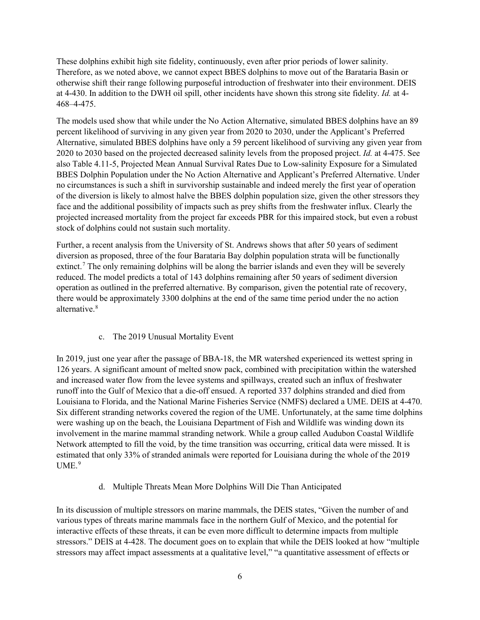These dolphins exhibit high site fidelity, continuously, even after prior periods of lower salinity. Therefore, as we noted above, we cannot expect BBES dolphins to move out of the Barataria Basin or otherwise shift their range following purposeful introduction of freshwater into their environment. DEIS at 4-430. In addition to the DWH oil spill, other incidents have shown this strong site fidelity. *Id.* at 4- 468–4-475.

The models used show that while under the No Action Alternative, simulated BBES dolphins have an 89 percent likelihood of surviving in any given year from 2020 to 2030, under the Applicant's Preferred Alternative, simulated BBES dolphins have only a 59 percent likelihood of surviving any given year from 2020 to 2030 based on the projected decreased salinity levels from the proposed project. *Id.* at 4-475. See also Table 4.11-5, Projected Mean Annual Survival Rates Due to Low-salinity Exposure for a Simulated BBES Dolphin Population under the No Action Alternative and Applicant's Preferred Alternative. Under no circumstances is such a shift in survivorship sustainable and indeed merely the first year of operation of the diversion is likely to almost halve the BBES dolphin population size, given the other stressors they face and the additional possibility of impacts such as prey shifts from the freshwater influx. Clearly the projected increased mortality from the project far exceeds PBR for this impaired stock, but even a robust stock of dolphins could not sustain such mortality.

Further, a recent analysis from the University of St. Andrews shows that after 50 years of sediment diversion as proposed, three of the four Barataria Bay dolphin population strata will be functionally extinct.<sup>[7](#page-13-6)</sup> The only remaining dolphins will be along the barrier islands and even they will be severely reduced. The model predicts a total of 143 dolphins remaining after 50 years of sediment diversion operation as outlined in the preferred alternative. By comparison, given the potential rate of recovery, there would be approximately 3300 dolphins at the end of the same time period under the no action alternative.[8](#page-14-0)

#### c. The 2019 Unusual Mortality Event

In 2019, just one year after the passage of BBA-18, the MR watershed experienced its wettest spring in 126 years. A significant amount of melted snow pack, combined with precipitation within the watershed and increased water flow from the levee systems and spillways, created such an influx of freshwater runoff into the Gulf of Mexico that a die-off ensued. A reported 337 dolphins stranded and died from Louisiana to Florida, and the National Marine Fisheries Service (NMFS) declared a UME. DEIS at 4-470. Six different stranding networks covered the region of the UME. Unfortunately, at the same time dolphins were washing up on the beach, the Louisiana Department of Fish and Wildlife was winding down its involvement in the marine mammal stranding network. While a group called Audubon Coastal Wildlife Network attempted to fill the void, by the time transition was occurring, critical data were missed. It is estimated that only 33% of stranded animals were reported for Louisiana during the whole of the 2019  $UME.<sup>9</sup>$  $UME.<sup>9</sup>$  $UME.<sup>9</sup>$ 

### d. Multiple Threats Mean More Dolphins Will Die Than Anticipated

In its discussion of multiple stressors on marine mammals, the DEIS states, "Given the number of and various types of threats marine mammals face in the northern Gulf of Mexico, and the potential for interactive effects of these threats, it can be even more difficult to determine impacts from multiple stressors." DEIS at 4-428. The document goes on to explain that while the DEIS looked at how "multiple stressors may affect impact assessments at a qualitative level," "a quantitative assessment of effects or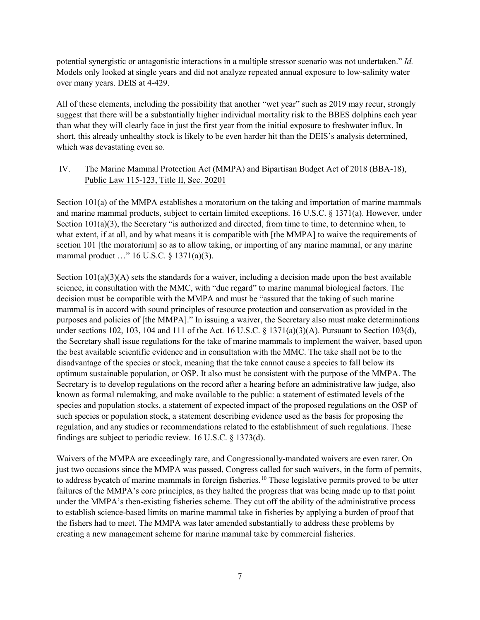potential synergistic or antagonistic interactions in a multiple stressor scenario was not undertaken." *Id.* Models only looked at single years and did not analyze repeated annual exposure to low-salinity water over many years. DEIS at 4-429.

All of these elements, including the possibility that another "wet year" such as 2019 may recur, strongly suggest that there will be a substantially higher individual mortality risk to the BBES dolphins each year than what they will clearly face in just the first year from the initial exposure to freshwater influx. In short, this already unhealthy stock is likely to be even harder hit than the DEIS's analysis determined, which was devastating even so.

## IV. The Marine Mammal Protection Act (MMPA) and Bipartisan Budget Act of 2018 (BBA-18), Public Law 115-123, Title II, Sec. 20201

Section 101(a) of the MMPA establishes a moratorium on the taking and importation of marine mammals and marine mammal products, subject to certain limited exceptions. 16 U.S.C. § 1371(a). However, under Section 101(a)(3), the Secretary "is authorized and directed, from time to time, to determine when, to what extent, if at all, and by what means it is compatible with [the MMPA] to waive the requirements of section 101 [the moratorium] so as to allow taking, or importing of any marine mammal, or any marine mammal product …" 16 U.S.C. § 1371(a)(3).

Section  $101(a)(3)(A)$  sets the standards for a waiver, including a decision made upon the best available science, in consultation with the MMC, with "due regard" to marine mammal biological factors. The decision must be compatible with the MMPA and must be "assured that the taking of such marine mammal is in accord with sound principles of resource protection and conservation as provided in the purposes and policies of [the MMPA]." In issuing a waiver, the Secretary also must make determinations under sections 102, 103, 104 and 111 of the Act. 16 U.S.C. § 1371(a)(3)(A). Pursuant to Section 103(d), the Secretary shall issue regulations for the take of marine mammals to implement the waiver, based upon the best available scientific evidence and in consultation with the MMC. The take shall not be to the disadvantage of the species or stock, meaning that the take cannot cause a species to fall below its optimum sustainable population, or OSP. It also must be consistent with the purpose of the MMPA. The Secretary is to develop regulations on the record after a hearing before an administrative law judge, also known as formal rulemaking, and make available to the public: a statement of estimated levels of the species and population stocks, a statement of expected impact of the proposed regulations on the OSP of such species or population stock, a statement describing evidence used as the basis for proposing the regulation, and any studies or recommendations related to the establishment of such regulations. These findings are subject to periodic review. 16 U.S.C. § 1373(d).

Waivers of the MMPA are exceedingly rare, and Congressionally-mandated waivers are even rarer. On just two occasions since the MMPA was passed, Congress called for such waivers, in the form of permits, to address bycatch of marine mammals in foreign fisheries.<sup>[10](#page-14-2)</sup> These legislative permits proved to be utter failures of the MMPA's core principles, as they halted the progress that was being made up to that point under the MMPA's then-existing fisheries scheme. They cut off the ability of the administrative process to establish science-based limits on marine mammal take in fisheries by applying a burden of proof that the fishers had to meet. The MMPA was later amended substantially to address these problems by creating a new management scheme for marine mammal take by commercial fisheries.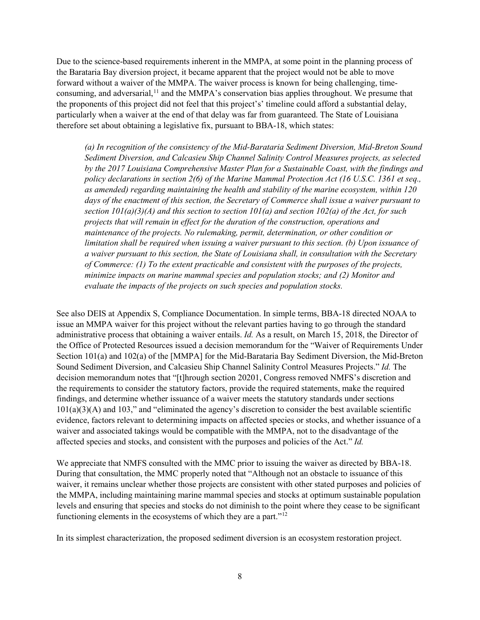Due to the science-based requirements inherent in the MMPA, at some point in the planning process of the Barataria Bay diversion project, it became apparent that the project would not be able to move forward without a waiver of the MMPA. The waiver process is known for being challenging, timeconsuming, and adversarial,  $11$  and the MMPA's conservation bias applies throughout. We presume that the proponents of this project did not feel that this project's' timeline could afford a substantial delay, particularly when a waiver at the end of that delay was far from guaranteed. The State of Louisiana therefore set about obtaining a legislative fix, pursuant to BBA-18, which states:

*(a) In recognition of the consistency of the Mid-Barataria Sediment Diversion, Mid-Breton Sound Sediment Diversion, and Calcasieu Ship Channel Salinity Control Measures projects, as selected by the 2017 Louisiana Comprehensive Master Plan for a Sustainable Coast, with the findings and policy declarations in section 2(6) of the Marine Mammal Protection Act (16 U.S.C. 1361 et seq., as amended) regarding maintaining the health and stability of the marine ecosystem, within 120 days of the enactment of this section, the Secretary of Commerce shall issue a waiver pursuant to section 101(a)(3)(A) and this section to section 101(a) and section 102(a) of the Act, for such projects that will remain in effect for the duration of the construction, operations and maintenance of the projects. No rulemaking, permit, determination, or other condition or limitation shall be required when issuing a waiver pursuant to this section. (b) Upon issuance of a waiver pursuant to this section, the State of Louisiana shall, in consultation with the Secretary of Commerce: (1) To the extent practicable and consistent with the purposes of the projects, minimize impacts on marine mammal species and population stocks; and (2) Monitor and evaluate the impacts of the projects on such species and population stocks.*

See also DEIS at Appendix S, Compliance Documentation. In simple terms, BBA-18 directed NOAA to issue an MMPA waiver for this project without the relevant parties having to go through the standard administrative process that obtaining a waiver entails. *Id.* As a result, on March 15, 2018, the Director of the Office of Protected Resources issued a decision memorandum for the "Waiver of Requirements Under Section 101(a) and 102(a) of the [MMPA] for the Mid-Barataria Bay Sediment Diversion, the Mid-Breton Sound Sediment Diversion, and Calcasieu Ship Channel Salinity Control Measures Projects." *Id.* The decision memorandum notes that "[t]hrough section 20201, Congress removed NMFS's discretion and the requirements to consider the statutory factors, provide the required statements, make the required findings, and determine whether issuance of a waiver meets the statutory standards under sections  $101(a)(3)(A)$  and  $103$ ," and "eliminated the agency's discretion to consider the best available scientific evidence, factors relevant to determining impacts on affected species or stocks, and whether issuance of a waiver and associated takings would be compatible with the MMPA, not to the disadvantage of the affected species and stocks, and consistent with the purposes and policies of the Act." *Id.* 

We appreciate that NMFS consulted with the MMC prior to issuing the waiver as directed by BBA-18. During that consultation, the MMC properly noted that "Although not an obstacle to issuance of this waiver, it remains unclear whether those projects are consistent with other stated purposes and policies of the MMPA, including maintaining marine mammal species and stocks at optimum sustainable population levels and ensuring that species and stocks do not diminish to the point where they cease to be significant functioning elements in the ecosystems of which they are a part."[12](#page-14-4)

In its simplest characterization, the proposed sediment diversion is an ecosystem restoration project.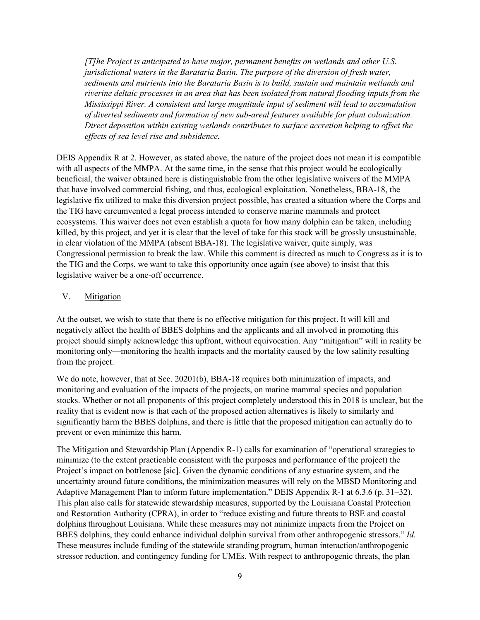*[T]he Project is anticipated to have major, permanent benefits on wetlands and other U.S. jurisdictional waters in the Barataria Basin. The purpose of the diversion of fresh water, sediments and nutrients into the Barataria Basin is to build, sustain and maintain wetlands and riverine deltaic processes in an area that has been isolated from natural flooding inputs from the Mississippi River. A consistent and large magnitude input of sediment will lead to accumulation of diverted sediments and formation of new sub-areal features available for plant colonization. Direct deposition within existing wetlands contributes to surface accretion helping to offset the effects of sea level rise and subsidence.*

DEIS Appendix R at 2. However, as stated above, the nature of the project does not mean it is compatible with all aspects of the MMPA. At the same time, in the sense that this project would be ecologically beneficial, the waiver obtained here is distinguishable from the other legislative waivers of the MMPA that have involved commercial fishing, and thus, ecological exploitation. Nonetheless, BBA-18, the legislative fix utilized to make this diversion project possible, has created a situation where the Corps and the TIG have circumvented a legal process intended to conserve marine mammals and protect ecosystems. This waiver does not even establish a quota for how many dolphin can be taken, including killed, by this project, and yet it is clear that the level of take for this stock will be grossly unsustainable, in clear violation of the MMPA (absent BBA-18). The legislative waiver, quite simply, was Congressional permission to break the law. While this comment is directed as much to Congress as it is to the TIG and the Corps, we want to take this opportunity once again (see above) to insist that this legislative waiver be a one-off occurrence.

#### V. Mitigation

At the outset, we wish to state that there is no effective mitigation for this project. It will kill and negatively affect the health of BBES dolphins and the applicants and all involved in promoting this project should simply acknowledge this upfront, without equivocation. Any "mitigation" will in reality be monitoring only—monitoring the health impacts and the mortality caused by the low salinity resulting from the project.

We do note, however, that at Sec. 20201(b), BBA-18 requires both minimization of impacts, and monitoring and evaluation of the impacts of the projects, on marine mammal species and population stocks. Whether or not all proponents of this project completely understood this in 2018 is unclear, but the reality that is evident now is that each of the proposed action alternatives is likely to similarly and significantly harm the BBES dolphins, and there is little that the proposed mitigation can actually do to prevent or even minimize this harm.

The Mitigation and Stewardship Plan (Appendix R-1) calls for examination of "operational strategies to minimize (to the extent practicable consistent with the purposes and performance of the project) the Project's impact on bottlenose [sic]. Given the dynamic conditions of any estuarine system, and the uncertainty around future conditions, the minimization measures will rely on the MBSD Monitoring and Adaptive Management Plan to inform future implementation." DEIS Appendix R-1 at 6.3.6 (p. 31–32). This plan also calls for statewide stewardship measures, supported by the Louisiana Coastal Protection and Restoration Authority (CPRA), in order to "reduce existing and future threats to BSE and coastal dolphins throughout Louisiana. While these measures may not minimize impacts from the Project on BBES dolphins, they could enhance individual dolphin survival from other anthropogenic stressors." *Id.*  These measures include funding of the statewide stranding program, human interaction/anthropogenic stressor reduction, and contingency funding for UMEs. With respect to anthropogenic threats, the plan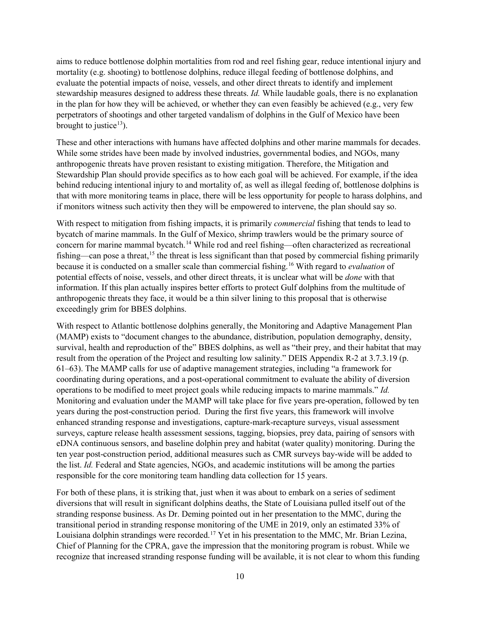aims to reduce bottlenose dolphin mortalities from rod and reel fishing gear, reduce intentional injury and mortality (e.g. shooting) to bottlenose dolphins, reduce illegal feeding of bottlenose dolphins, and evaluate the potential impacts of noise, vessels, and other direct threats to identify and implement stewardship measures designed to address these threats. *Id.* While laudable goals, there is no explanation in the plan for how they will be achieved, or whether they can even feasibly be achieved (e.g., very few perpetrators of shootings and other targeted vandalism of dolphins in the Gulf of Mexico have been brought to justice<sup>[13](#page-14-5)</sup>).

These and other interactions with humans have affected dolphins and other marine mammals for decades. While some strides have been made by involved industries, governmental bodies, and NGOs, many anthropogenic threats have proven resistant to existing mitigation. Therefore, the Mitigation and Stewardship Plan should provide specifics as to how each goal will be achieved. For example, if the idea behind reducing intentional injury to and mortality of, as well as illegal feeding of, bottlenose dolphins is that with more monitoring teams in place, there will be less opportunity for people to harass dolphins, and if monitors witness such activity then they will be empowered to intervene, the plan should say so.

With respect to mitigation from fishing impacts, it is primarily *commercial* fishing that tends to lead to bycatch of marine mammals. In the Gulf of Mexico, shrimp trawlers would be the primary source of concern for marine mammal bycatch. [14](#page-14-6) While rod and reel fishing—often characterized as recreational fishing—can pose a threat,<sup>15</sup> the threat is less significant than that posed by commercial fishing primarily because it is conducted on a smaller scale than commercial fishing. [16](#page-14-8) With regard to *evaluation* of potential effects of noise, vessels, and other direct threats, it is unclear what will be *done* with that information. If this plan actually inspires better efforts to protect Gulf dolphins from the multitude of anthropogenic threats they face, it would be a thin silver lining to this proposal that is otherwise exceedingly grim for BBES dolphins.

With respect to Atlantic bottlenose dolphins generally, the Monitoring and Adaptive Management Plan (MAMP) exists to "document changes to the abundance, distribution, population demography, density, survival, health and reproduction of the" BBES dolphins, as well as "their prey, and their habitat that may result from the operation of the Project and resulting low salinity." DEIS Appendix R-2 at 3.7.3.19 (p. 61–63). The MAMP calls for use of adaptive management strategies, including "a framework for coordinating during operations, and a post-operational commitment to evaluate the ability of diversion operations to be modified to meet project goals while reducing impacts to marine mammals." *Id.*  Monitoring and evaluation under the MAMP will take place for five years pre-operation, followed by ten years during the post-construction period. During the first five years, this framework will involve enhanced stranding response and investigations, capture-mark-recapture surveys, visual assessment surveys, capture release health assessment sessions, tagging, biopsies, prey data, pairing of sensors with eDNA continuous sensors, and baseline dolphin prey and habitat (water quality) monitoring. During the ten year post-construction period, additional measures such as CMR surveys bay-wide will be added to the list. *Id.* Federal and State agencies, NGOs, and academic institutions will be among the parties responsible for the core monitoring team handling data collection for 15 years.

For both of these plans, it is striking that, just when it was about to embark on a series of sediment diversions that will result in significant dolphins deaths, the State of Louisiana pulled itself out of the stranding response business. As Dr. Deming pointed out in her presentation to the MMC, during the transitional period in stranding response monitoring of the UME in 2019, only an estimated 33% of Louisiana dolphin strandings were recorded.<sup>[17](#page-14-9)</sup> Yet in his presentation to the MMC, Mr. Brian Lezina, Chief of Planning for the CPRA, gave the impression that the monitoring program is robust. While we recognize that increased stranding response funding will be available, it is not clear to whom this funding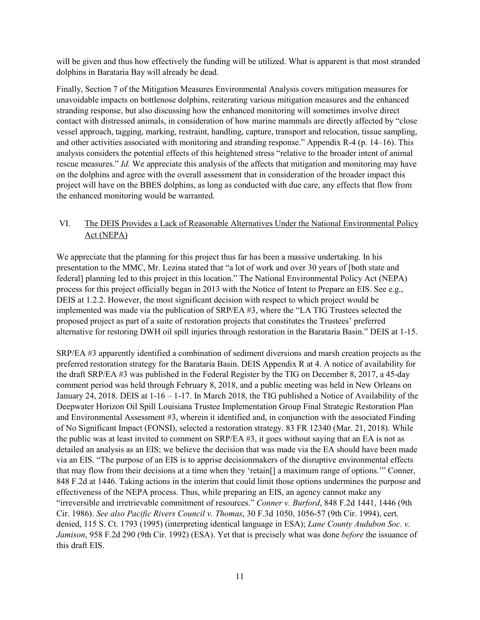will be given and thus how effectively the funding will be utilized. What is apparent is that most stranded dolphins in Barataria Bay will already be dead.

Finally, Section 7 of the Mitigation Measures Environmental Analysis covers mitigation measures for unavoidable impacts on bottlenose dolphins, reiterating various mitigation measures and the enhanced stranding response, but also discussing how the enhanced monitoring will sometimes involve direct contact with distressed animals, in consideration of how marine mammals are directly affected by "close vessel approach, tagging, marking, restraint, handling, capture, transport and relocation, tissue sampling, and other activities associated with monitoring and stranding response." Appendix R-4 (p. 14–16). This analysis considers the potential effects of this heightened stress "relative to the broader intent of animal rescue measures." *Id.* We appreciate this analysis of the affects that mitigation and monitoring may have on the dolphins and agree with the overall assessment that in consideration of the broader impact this project will have on the BBES dolphins, as long as conducted with due care, any effects that flow from the enhanced monitoring would be warranted.

# VI. The DEIS Provides a Lack of Reasonable Alternatives Under the National Environmental Policy Act (NEPA)

We appreciate that the planning for this project thus far has been a massive undertaking. In his presentation to the MMC, Mr. Lezina stated that "a lot of work and over 30 years of [both state and federal] planning led to this project in this location." The National Environmental Policy Act (NEPA) process for this project officially began in 2013 with the Notice of Intent to Prepare an EIS. See e.g., DEIS at 1.2.2. However, the most significant decision with respect to which project would be implemented was made via the publication of SRP/EA #3, where the "LA TIG Trustees selected the proposed project as part of a suite of restoration projects that constitutes the Trustees' preferred alternative for restoring DWH oil spill injuries through restoration in the Barataria Basin." DEIS at 1-15.

SRP/EA #3 apparently identified a combination of sediment diversions and marsh creation projects as the preferred restoration strategy for the Barataria Basin. DEIS Appendix R at 4. A notice of availability for the draft SRP/EA #3 was published in the Federal Register by the TIG on December 8, 2017, a 45-day comment period was held through February 8, 2018, and a public meeting was held in New Orleans on January 24, 2018. DEIS at 1-16 – 1-17. In March 2018, the TIG published a Notice of Availability of the Deepwater Horizon Oil Spill Louisiana Trustee Implementation Group Final Strategic Restoration Plan and Environmental Assessment #3, wherein it identified and, in conjunction with the associated Finding of No Significant Impact (FONSI), selected a restoration strategy. 83 FR 12340 (Mar. 21, 2018). While the public was at least invited to comment on SRP/EA #3, it goes without saying that an EA is not as detailed an analysis as an EIS; we believe the decision that was made via the EA should have been made via an EIS. "The purpose of an EIS is to apprise decisionmakers of the disruptive environmental effects that may flow from their decisions at a time when they 'retain[] a maximum range of options.'" Conner, 848 F.2d at 1446. Taking actions in the interim that could limit those options undermines the purpose and effectiveness of the NEPA process. Thus, while preparing an EIS, an agency cannot make any "irreversible and irretrievable commitment of resources." *Conner v. Burford*, 848 F.2d 1441, 1446 (9th Cir. 1986). *See also Pacific Rivers Council v. Thomas*, 30 F.3d 1050, 1056-57 (9th Cir. 1994), cert. denied, 115 S. Ct. 1793 (1995) (interpreting identical language in ESA); *Lane County Audubon Soc. v. Jamison*, 958 F.2d 290 (9th Cir. 1992) (ESA). Yet that is precisely what was done *before* the issuance of this draft EIS.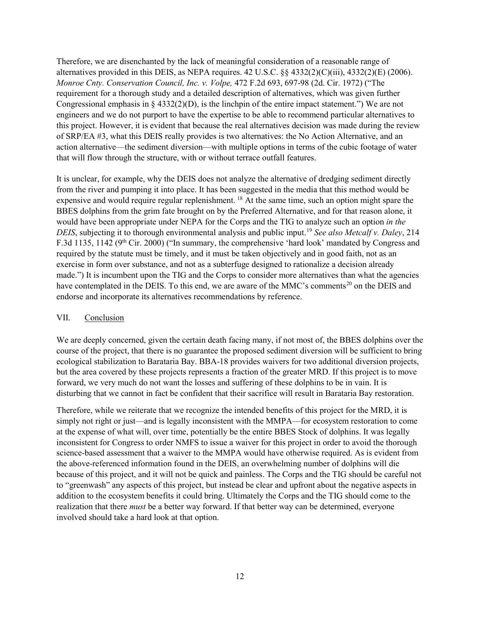Therefore, we are disenchanted by the lack of meaningful consideration of a reasonable range of alternatives provided in this DEIS, as NEPA requires. 42 U.S.C. §§ 4332(2)(C)(iii), 4332(2)(E) (2006). *Monroe Cnty. Conservation Council, Inc. v. Volpe,* 472 F.2d 693, 697-98 (2d. Cir. 1972) ("The requirement for a thorough study and a detailed description of alternatives, which was given further Congressional emphasis in  $\S 4332(2)(D)$ , is the linchpin of the entire impact statement.") We are not engineers and we do not purport to have the expertise to be able to recommend particular alternatives to this project. However, it is evident that because the real alternatives decision was made during the review of SRP/EA #3, what this DEIS really provides is two alternatives: the No Action Alternative, and an action alternative—the sediment diversion—with multiple options in terms of the cubic footage of water that will flow through the structure, with or without terrace outfall features.

It is unclear, for example, why the DEIS does not analyze the alternative of dredging sediment directly from the river and pumping it into place. It has been suggested in the media that this method would be expensive and would require regular replenishment. [18](#page-14-10) At the same time, such an option might spare the BBES dolphins from the grim fate brought on by the Preferred Alternative, and for that reason alone, it would have been appropriate under NEPA for the Corps and the TIG to analyze such an option *in the DEIS*, subjecting it to thorough environmental analysis and public input. [19](#page-14-11) *See also Metcalf v. Daley*, 214 F.3d 1135, 1142 (9<sup>th</sup> Cir. 2000) ("In summary, the comprehensive 'hard look' mandated by Congress and required by the statute must be timely, and it must be taken objectively and in good faith, not as an exercise in form over substance, and not as a subterfuge designed to rationalize a decision already made.") It is incumbent upon the TIG and the Corps to consider more alternatives than what the agencies have contemplated in the DEIS. To this end, we are aware of the MMC's comments<sup>[20](#page-14-12)</sup> on the DEIS and endorse and incorporate its alternatives recommendations by reference.

#### VII. Conclusion

We are deeply concerned, given the certain death facing many, if not most of, the BBES dolphins over the course of the project, that there is no guarantee the proposed sediment diversion will be sufficient to bring ecological stabilization to Barataria Bay. BBA-18 provides waivers for two additional diversion projects, but the area covered by these projects represents a fraction of the greater MRD. If this project is to move forward, we very much do not want the losses and suffering of these dolphins to be in vain. It is disturbing that we cannot in fact be confident that their sacrifice will result in Barataria Bay restoration.

Therefore, while we reiterate that we recognize the intended benefits of this project for the MRD, it is simply not right or just—and is legally inconsistent with the MMPA—for ecosystem restoration to come at the expense of what will, over time, potentially be the entire BBES Stock of dolphins. It was legally inconsistent for Congress to order NMFS to issue a waiver for this project in order to avoid the thorough science-based assessment that a waiver to the MMPA would have otherwise required. As is evident from the above-referenced information found in the DEIS, an overwhelming number of dolphins will die because of this project, and it will not be quick and painless. The Corps and the TIG should be careful not to "greenwash" any aspects of this project, but instead be clear and upfront about the negative aspects in addition to the ecosystem benefits it could bring. Ultimately the Corps and the TIG should come to the realization that there *must* be a better way forward. If that better way can be determined, everyone involved should take a hard look at that option.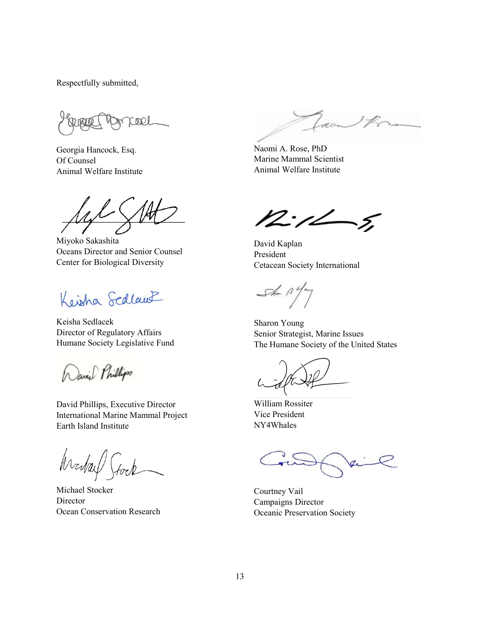Respectfully submitted,

cool

Georgia Hancock, Esq. Of Counsel Animal Welfare Institute

Miyoko Sakashita Oceans Director and Senior Counsel Center for Biological Diversity

Keisha Scalauf

Keisha Sedlacek Director of Regulatory Affairs Humane Society Legislative Fund

David Phillips

David Phillips, Executive Director International Marine Mammal Project Earth Island Institute

Weday Gock

Michael Stocker Director Ocean Conservation Research

Zaon 17

Naomi A. Rose, PhD Marine Mammal Scientist Animal Welfare Institute

 $12.72 - 5.$ 

David Kaplan President Cetacean Society International

 $\begin{array}{c}\n\mathcal{S}\n\pi & \mathcal{S}\n\end{array}$ 

Sharon Young Senior Strategist, Marine Issues The Humane Society of the United States

William Rossiter Vice President NY4Whales

Courtney Vail Campaigns Director Oceanic Preservation Society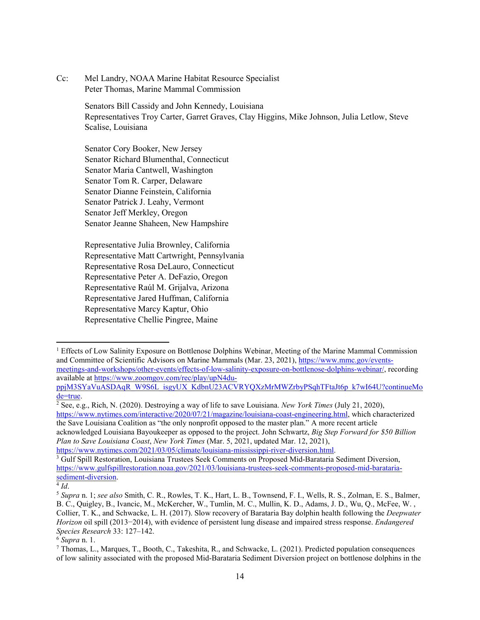Cc: Mel Landry, NOAA Marine Habitat Resource Specialist Peter Thomas, Marine Mammal Commission

> Senators Bill Cassidy and John Kennedy, Louisiana Representatives Troy Carter, Garret Graves, Clay Higgins, Mike Johnson, Julia Letlow, Steve Scalise, Louisiana

Senator Cory Booker, New Jersey Senator Richard Blumenthal, Connecticut Senator Maria Cantwell, Washington Senator Tom R. Carper, Delaware Senator Dianne Feinstein, California Senator Patrick J. Leahy, Vermont Senator Jeff Merkley, Oregon Senator Jeanne Shaheen, New Hampshire

Representative Julia Brownley, California Representative Matt Cartwright, Pennsylvania Representative Rosa DeLauro, Connecticut Representative Peter A. DeFazio, Oregon Representative Raúl M. Grijalva, Arizona Representative Jared Huffman, California Representative Marcy Kaptur, Ohio Representative Chellie Pingree, Maine

<span id="page-13-1"></span>[https://www.nytimes.com/interactive/2020/07/21/magazine/louisiana-coast-engineering.html,](https://www.nytimes.com/interactive/2020/07/21/magazine/louisiana-coast-engineering.html) which characterized the Save Louisiana Coalition as "the only nonprofit opposed to the master plan." A more recent article

acknowledged Louisiana Bayoukeeper as opposed to the project. John Schwartz, *Big Step Forward for \$50 Billion Plan to Save Louisiana Coast*, *New York Times* (Mar. 5, 2021, updated Mar. 12, 2021), [https://www.nytimes.com/2021/03/05/climate/louisiana-mississippi-river-diversion.html.](https://www.nytimes.com/2021/03/05/climate/louisiana-mississippi-river-diversion.html)

<span id="page-13-2"></span><sup>3</sup> Gulf Spill Restoration, Louisiana Trustees Seek Comments on Proposed Mid-Barataria Sediment Diversion, [https://www.gulfspillrestoration.noaa.gov/2021/03/louisiana-trustees-seek-comments-proposed-mid-barataria](https://www.gulfspillrestoration.noaa.gov/2021/03/louisiana-trustees-seek-comments-proposed-mid-barataria-sediment-diversion)[sediment-diversion.](https://www.gulfspillrestoration.noaa.gov/2021/03/louisiana-trustees-seek-comments-proposed-mid-barataria-sediment-diversion)

<span id="page-13-0"></span><sup>&</sup>lt;sup>1</sup> Effects of Low Salinity Exposure on Bottlenose Dolphins Webinar, Meeting of the Marine Mammal Commission and Committee of Scientific Advisors on Marine Mammals (Mar. 23, 2021), [https://www.mmc.gov/events](https://www.mmc.gov/events-meetings-and-workshops/other-events/effects-of-low-salinity-exposure-on-bottlenose-dolphins-webinar/)[meetings-and-workshops/other-events/effects-of-low-salinity-exposure-on-bottlenose-dolphins-webinar/,](https://www.mmc.gov/events-meetings-and-workshops/other-events/effects-of-low-salinity-exposure-on-bottlenose-dolphins-webinar/) recording available at [https://www.zoomgov.com/rec/play/upN4du](https://www.zoomgov.com/rec/play/upN4du-ppjM3SYaVuASDAqR_W9S6L_isgyUX_KdbnU23ACVRYQXzMrMWZrbyPSqhTFtaJt6p_k7wI64U?continueMode=true)l

[ppjM3SYaVuASDAqR\\_W9S6L\\_isgyUX\\_KdbnU23ACVRYQXzMrMWZrbyPSqhTFtaJt6p\\_k7wI64U?continueMo](https://www.zoomgov.com/rec/play/upN4du-ppjM3SYaVuASDAqR_W9S6L_isgyUX_KdbnU23ACVRYQXzMrMWZrbyPSqhTFtaJt6p_k7wI64U?continueMode=true) [de=true.](https://www.zoomgov.com/rec/play/upN4du-ppjM3SYaVuASDAqR_W9S6L_isgyUX_KdbnU23ACVRYQXzMrMWZrbyPSqhTFtaJt6p_k7wI64U?continueMode=true) 2 See, e.g., Rich, N. (2020). Destroying a way of life to save Louisiana. *New York Times* (July 21, 2020),

<span id="page-13-4"></span>

<span id="page-13-3"></span><sup>4</sup> *Id*. 5 *Supra* n. 1; *see also* Smith, C. R., Rowles, T. K., Hart, L. B., Townsend, F. I., Wells, R. S., Zolman, E. S., Balmer, B. C., Quigley, B., Ivancic, M., McKercher, W., Tumlin, M. C., Mullin, K. D., Adams, J. D., Wu, Q., McFee, W. , Collier, T. K., and Schwacke, L. H. (2017). Slow recovery of Barataria Bay dolphin health following the *Deepwater Horizon* oil spill (2013−2014), with evidence of persistent lung disease and impaired stress response. *Endangered Species Research* 33: 127–142.

<span id="page-13-5"></span><sup>6</sup> *Supra* n. 1.

<span id="page-13-6"></span><sup>7</sup> Thomas, L., Marques, T., Booth, C., Takeshita, R., and Schwacke, L. (2021). Predicted population consequences of low salinity associated with the proposed Mid-Barataria Sediment Diversion project on bottlenose dolphins in the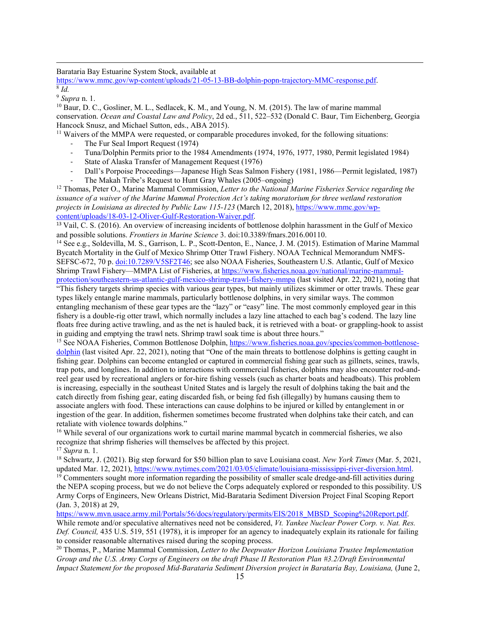Barataria Bay Estuarine System Stock, available at

[https://www.mmc.gov/wp-content/uploads/21-05-13-BB-dolphin-popn-trajectory-MMC-response.pdf.](https://www.mmc.gov/wp-content/uploads/21-05-13-BB-dolphin-popn-trajectory-MMC-response.pdf) 8 *Id.*

**.** 

<span id="page-14-1"></span><sup>9</sup> *Supra* n. 1.

<span id="page-14-2"></span><sup>10</sup> Baur, D. C., Gosliner, M. L., Sedlacek, K. M., and Young, N. M. (2015). The law of marine mammal conservation. *Ocean and Coastal Law and Policy*, 2d ed., 511, 522–532 (Donald C. Baur, Tim Eichenberg, Georgia Hancock Snusz, and Michael Sutton, eds., ABA 2015).

<span id="page-14-3"></span> $11$  Waivers of the MMPA were requested, or comparable procedures invoked, for the following situations:

- The Fur Seal Import Request (1974)
- Tuna/Dolphin Permits prior to the 1984 Amendments (1974, 1976, 1977, 1980, Permit legislated 1984)
- State of Alaska Transfer of Management Request (1976)
- Dall's Porpoise Proceedings—Japanese High Seas Salmon Fishery (1981, 1986—Permit legislated, 1987)
- The Makah Tribe's Request to Hunt Gray Whales (2005–ongoing)

<span id="page-14-4"></span><sup>12</sup> Thomas, Peter O., Marine Mammal Commission, *Letter to the National Marine Fisheries Service regarding the issuance of a waiver of the Marine Mammal Protection Act's taking moratorium for three wetland restoration projects in Louisiana as directed by Public Law 115-123* (March 12, 2018)[, https://www.mmc.gov/wp](https://www.mmc.gov/wp-content/uploads/18-03-12-Oliver-Gulf-Restoration-Waiver.pdf)[content/uploads/18-03-12-Oliver-Gulf-Restoration-Waiver.pdf.](https://www.mmc.gov/wp-content/uploads/18-03-12-Oliver-Gulf-Restoration-Waiver.pdf)

<span id="page-14-5"></span><sup>13</sup> Vail, C. S. (2016). An overview of increasing incidents of bottlenose dolphin harassment in the Gulf of Mexico and possible solutions. *Frontiers in Marine Science* 3. doi:10.3389/fmars.2016.00110.

<span id="page-14-6"></span><sup>14</sup> See e.g., Soldevilla, M. S., Garrison, L. P., Scott-Denton, E., Nance, J. M. (2015). Estimation of Marine Mammal Bycatch Mortality in the Gulf of Mexico Shrimp Otter Trawl Fishery. NOAA Technical Memorandum NMFS-SEFSC-672, 70 p. [doi:10.7289/V5SF2T46;](http://dx.doi.org/10.7289/V5SF2T46) see also NOAA Fisheries, Southeastern U.S. Atlantic, Gulf of Mexico Shrimp Trawl Fishery—MMPA List of Fisheries, at [https://www.fisheries.noaa.gov/national/marine-mammal](https://www.fisheries.noaa.gov/national/marine-mammal-protection/southeastern-us-atlantic-gulf-mexico-shrimp-trawl-fishery-mmpa)[protection/southeastern-us-atlantic-gulf-mexico-shrimp-trawl-fishery-mmpa](https://www.fisheries.noaa.gov/national/marine-mammal-protection/southeastern-us-atlantic-gulf-mexico-shrimp-trawl-fishery-mmpa) (last visited Apr. 22, 2021), noting that

"This fishery targets shrimp species with various gear types, but mainly utilizes skimmer or otter trawls. These gear types likely entangle marine mammals, particularly bottlenose dolphins, in very similar ways. The common entangling mechanism of these gear types are the "lazy" or "easy" line. The most commonly employed gear in this fishery is a double-rig otter trawl, which normally includes a lazy line attached to each bag's codend. The lazy line floats free during active trawling, and as the net is hauled back, it is retrieved with a boat- or grappling-hook to assist in guiding and emptying the trawl nets. Shrimp trawl soak time is about three hours."

<span id="page-14-7"></span><sup>15</sup> See NOAA Fisheries, Common Bottlenose Dolphin, [https://www.fisheries.noaa.gov/species/common-bottlenose](https://www.fisheries.noaa.gov/species/common-bottlenose-dolphin)[dolphin](https://www.fisheries.noaa.gov/species/common-bottlenose-dolphin) (last visited Apr. 22, 2021), noting that "One of the main threats to bottlenose dolphins is getting caught in fishing gear. Dolphins can become entangled or captured in commercial fishing gear such as gillnets, seines, trawls, trap pots, and longlines. In addition to interactions with commercial fisheries, dolphins may also encounter rod-andreel gear used by recreational anglers or for-hire fishing vessels (such as charter boats and headboats). This problem is increasing, especially in the southeast United States and is largely the result of dolphins taking the bait and the catch directly from fishing gear, eating discarded fish, or being fed fish (illegally) by humans causing them to associate anglers with food. These interactions can cause dolphins to be injured or killed by entanglement in or ingestion of the gear. In addition, fishermen sometimes become frustrated when dolphins take their catch, and can retaliate with violence towards dolphins."

<span id="page-14-8"></span><sup>16</sup> While several of our organizations work to curtail marine mammal bycatch in commercial fisheries, we also recognize that shrimp fisheries will themselves be affected by this project.

<span id="page-14-9"></span><sup>17</sup> *Supra* n. 1.

<span id="page-14-10"></span><sup>18</sup> Schwartz, J. (2021). Big step forward for \$50 billion plan to save Louisiana coast. *New York Times* (Mar. 5, 2021, updated Mar. 12, 2021), [https://www.nytimes.com/2021/03/05/climate/louisiana-mississippi-river-diversion.html.](https://www.nytimes.com/2021/03/05/climate/louisiana-mississippi-river-diversion.html)

<span id="page-14-11"></span> $19$  Commenters sought more information regarding the possibility of smaller scale dredge-and-fill activities during the NEPA scoping process, but we do not believe the Corps adequately explored or responded to this possibility. US Army Corps of Engineers, New Orleans District, Mid-Barataria Sediment Diversion Project Final Scoping Report (Jan. 3, 2018) at 29,

[https://www.mvn.usace.army.mil/Portals/56/docs/regulatory/permits/EIS/2018\\_MBSD\\_Scoping%20Report.pdf.](https://www.mvn.usace.army.mil/Portals/56/docs/regulatory/permits/EIS/2018_MBSD_Scoping%20Report.pdf)  While remote and/or speculative alternatives need not be considered, *Vt. Yankee Nuclear Power Corp. v. Nat. Res. Def. Council,* 435 U.S. 519, 551 (1978), it is improper for an agency to inadequately explain its rationale for failing to consider reasonable alternatives raised during the scoping process.

<span id="page-14-12"></span><sup>20</sup> Thomas, P., Marine Mammal Commission, *Letter to the Deepwater Horizon Louisiana Trustee Implementation Group and the U.S. Army Corps of Engineers on the draft Phase II Restoration Plan #3.2/Draft Environmental Impact Statement for the proposed Mid-Barataria Sediment Diversion project in Barataria Bay, Louisiana,* (June 2,

<span id="page-14-0"></span>